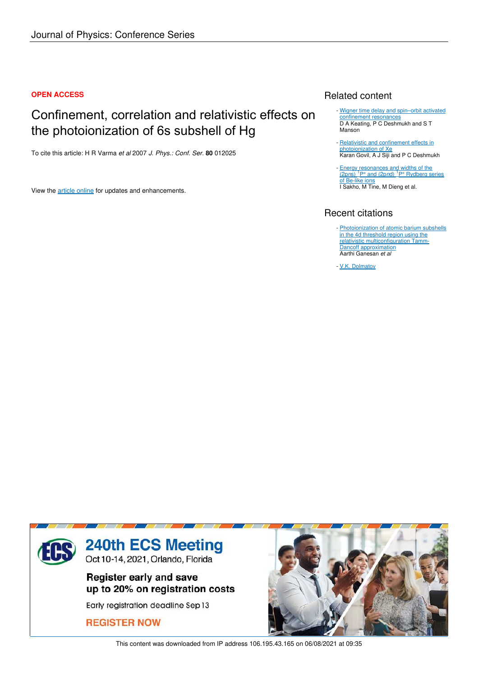## **OPEN ACCESS**

# Confinement, correlation and relativistic effects on the photoionization of 6s subshell of Hg

To cite this article: H R Varma *et al* 2007 *J. Phys.: Conf. Ser.* **80** 012025

View the article online for updates and enhancements.

# Related content

- Wigner time delay and spin-orbit activated confinement resonances D A Keating, P C Deshmukh and S T Manson
- Relativistic and confinement effects in photoionization of Xe Karan Govil, A J Siji and P C Deshmukh
- Energy resonances and widths of the<br>(2pns) <sup>1</sup>P° and (2pnd) <sup>1</sup>P° Rydberg series of Be-like ions I Sakho, M Tine, M Dieng et al.

# Recent citations

- Photoionization of atomic barium subshells in the 4d threshold region using the relativistic multiconfiguration Tamm-Dancoff approximation Aarthi Ganesan *et al*
- V.K. Dolmatov



This content was downloaded from IP address 106.195.43.165 on 06/08/2021 at 09:35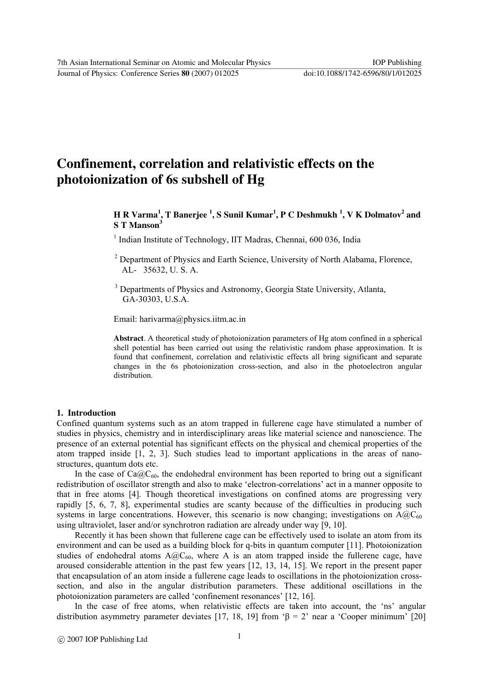Journal of Physics: Conference Series **80** (2007) 012025 doi:10.1088/1742-6596/80/1/012025

# **Confinement, correlation and relativistic effects on the photoionization of 6s subshell of Hg**

# **H R Varma<sup>1</sup> , T Banerjee <sup>1</sup> , S Sunil Kumar<sup>1</sup> , P C Deshmukh <sup>1</sup> , V K Dolmatov<sup>2</sup> and S T Manson<sup>3</sup>**

<sup>1</sup> Indian Institute of Technology, IIT Madras, Chennai, 600 036, India

<sup>2</sup> Department of Physics and Earth Science, University of North Alabama, Florence, AL- 35632, U. S. A.

<sup>3</sup> Departments of Physics and Astronomy, Georgia State University, Atlanta, GA-30303, U.S.A.

Email: harivarma@physics.iitm.ac.in

**Abstract**. A theoretical study of photoionization parameters of Hg atom confined in a spherical shell potential has been carried out using the relativistic random phase approximation. It is found that confinement, correlation and relativistic effects all bring significant and separate changes in the 6s photoionization cross-section, and also in the photoelectron angular distribution.

#### **1. Introduction**

Confined quantum systems such as an atom trapped in fullerene cage have stimulated a number of studies in physics, chemistry and in interdisciplinary areas like material science and nanoscience. The presence of an external potential has significant effects on the physical and chemical properties of the atom trapped inside [1, 2, 3]. Such studies lead to important applications in the areas of nanostructures, quantum dots etc.

In the case of  $Ca_0^2C_{60}$ , the endohedral environment has been reported to bring out a significant redistribution of oscillator strength and also to make 'electron-correlations' act in a manner opposite to that in free atoms [4]. Though theoretical investigations on confined atoms are progressing very rapidly [5, 6, 7, 8], experimental studies are scanty because of the difficulties in producing such systems in large concentrations. However, this scenario is now changing; investigations on  $A@C_{60}$ using ultraviolet, laser and/or synchrotron radiation are already under way [9, 10].

Recently it has been shown that fullerene cage can be effectively used to isolate an atom from its environment and can be used as a building block for q-bits in quantum computer [11]. Photoionization studies of endohedral atoms  $A@C_{60}$ , where A is an atom trapped inside the fullerene cage, have aroused considerable attention in the past few years [12, 13, 14, 15]. We report in the present paper that encapsulation of an atom inside a fullerene cage leads to oscillations in the photoionization crosssection, and also in the angular distribution parameters. These additional oscillations in the photoionization parameters are called 'confinement resonances' [12, 16].

In the case of free atoms, when relativistic effects are taken into account, the 'ns' angular distribution asymmetry parameter deviates [17, 18, 19] from ' $\beta = 2$ ' near a 'Cooper minimum' [20]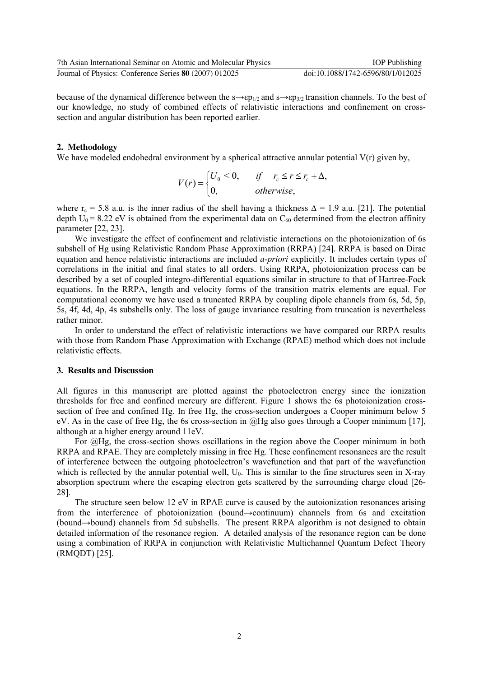| 7th Asian International Seminar on Atomic and Molecular Physics | <b>IOP</b> Publishing             |
|-----------------------------------------------------------------|-----------------------------------|
| Journal of Physics: Conference Series 80 (2007) 012025          | doi:10.1088/1742-6596/80/1/012025 |

because of the dynamical difference between the  $s\rightarrow sp_{1/2}$  and  $s\rightarrow sp_{3/2}$  transition channels. To the best of our knowledge, no study of combined effects of relativistic interactions and confinement on crosssection and angular distribution has been reported earlier.

### **2. Methodology**

We have modeled endohedral environment by a spherical attractive annular potential  $V(r)$  given by,

$$
V(r) = \begin{cases} U_0 < 0, \quad \text{if} \quad r_c \le r \le r_c + \Delta, \\ 0, \quad \text{otherwise,} \end{cases}
$$

where  $r_c$  = 5.8 a.u. is the inner radius of the shell having a thickness  $\Delta$  = 1.9 a.u. [21]. The potential depth  $U_0$  = 8.22 eV is obtained from the experimental data on  $C_{60}$  determined from the electron affinity parameter [22, 23].

We investigate the effect of confinement and relativistic interactions on the photoionization of 6s subshell of Hg using Relativistic Random Phase Approximation (RRPA) [24]. RRPA is based on Dirac equation and hence relativistic interactions are included *a-priori* explicitly. It includes certain types of correlations in the initial and final states to all orders. Using RRPA, photoionization process can be described by a set of coupled integro-differential equations similar in structure to that of Hartree-Fock equations. In the RRPA, length and velocity forms of the transition matrix elements are equal. For computational economy we have used a truncated RRPA by coupling dipole channels from 6s, 5d, 5p, 5s, 4f, 4d, 4p, 4s subshells only. The loss of gauge invariance resulting from truncation is nevertheless rather minor.

In order to understand the effect of relativistic interactions we have compared our RRPA results with those from Random Phase Approximation with Exchange (RPAE) method which does not include relativistic effects.

#### **3. Results and Discussion**

All figures in this manuscript are plotted against the photoelectron energy since the ionization thresholds for free and confined mercury are different. Figure 1 shows the 6s photoionization crosssection of free and confined Hg. In free Hg, the cross-section undergoes a Cooper minimum below 5 eV. As in the case of free Hg, the 6s cross-section in @Hg also goes through a Cooper minimum [17], although at a higher energy around 11eV.

For @Hg, the cross-section shows oscillations in the region above the Cooper minimum in both RRPA and RPAE. They are completely missing in free Hg. These confinement resonances are the result of interference between the outgoing photoelectron's wavefunction and that part of the wavefunction which is reflected by the annular potential well,  $U_0$ . This is similar to the fine structures seen in X-ray absorption spectrum where the escaping electron gets scattered by the surrounding charge cloud [26- 28].

The structure seen below 12 eV in RPAE curve is caused by the autoionization resonances arising from the interference of photoionization (bound→continuum) channels from 6s and excitation (bound→bound) channels from 5d subshells. The present RRPA algorithm is not designed to obtain detailed information of the resonance region. A detailed analysis of the resonance region can be done using a combination of RRPA in conjunction with Relativistic Multichannel Quantum Defect Theory (RMQDT) [25].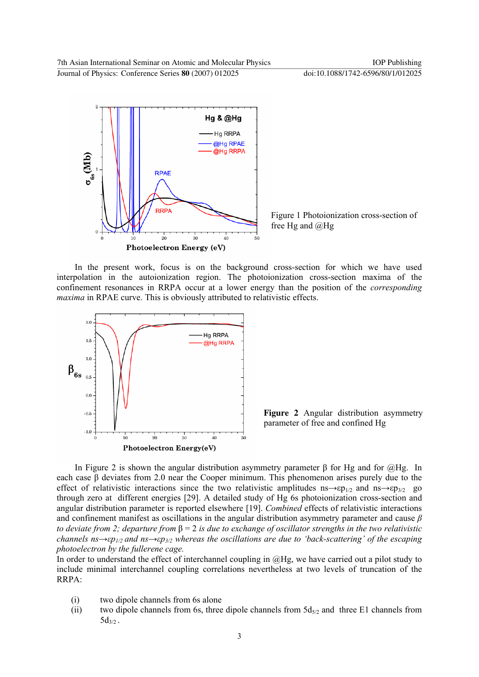

Figure 1 Photoionization cross-section of free Hg and @Hg

In the present work, focus is on the background cross-section for which we have used interpolation in the autoionization region. The photoionization cross-section maxima of the confinement resonances in RRPA occur at a lower energy than the position of the *corresponding maxima* in RPAE curve. This is obviously attributed to relativistic effects.



**Figure 2** Angular distribution asymmetry parameter of free and confined Hg

In Figure 2 is shown the angular distribution asymmetry parameter β for Hg and for  $@$ Hg. In each case  $\beta$  deviates from 2.0 near the Cooper minimum. This phenomenon arises purely due to the effect of relativistic interactions since the two relativistic amplitudes ns $\rightarrow$ εp<sub>1/2</sub> and ns $\rightarrow$ εp<sub>3/2</sub> go through zero at different energies [29]. A detailed study of Hg 6s photoionization cross-section and angular distribution parameter is reported elsewhere [19]. *Combined* effects of relativistic interactions and confinement manifest as oscillations in the angular distribution asymmetry parameter and cause *β to deviate from 2; departure from* β = 2 *is due to exchange of oscillator strengths in the two relativistic channels ns→εp1/2 and ns→εp3/2 whereas the oscillations are due to 'back-scattering' of the escaping photoelectron by the fullerene cage.* 

In order to understand the effect of interchannel coupling in  $@Hg$ , we have carried out a pilot study to include minimal interchannel coupling correlations nevertheless at two levels of truncation of the RRPA:

- (i) two dipole channels from 6s alone
- (ii) two dipole channels from 6s, three dipole channels from  $5d_{5/2}$  and three E1 channels from  $5d_{3/2}$ .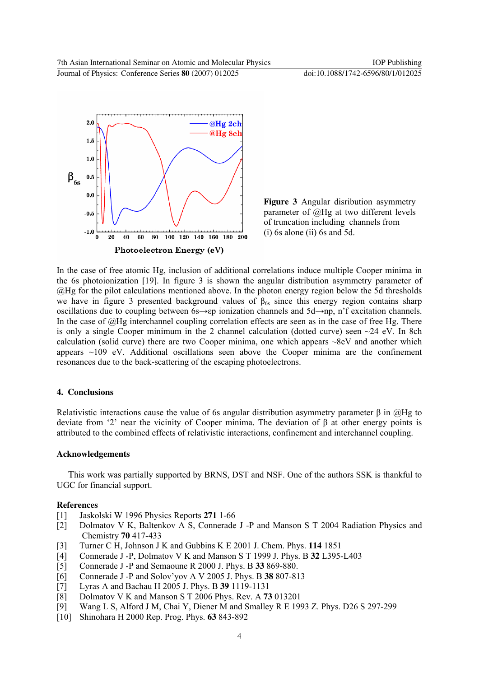

**Figure 3** Angular disribution asymmetry parameter of @Hg at two different levels of truncation including channels from (i) 6s alone (ii) 6s and 5d.

In the case of free atomic Hg, inclusion of additional correlations induce multiple Cooper minima in the 6s photoionization [19]. In figure 3 is shown the angular distribution asymmetry parameter of @Hg for the pilot calculations mentioned above. In the photon energy region below the 5d thresholds we have in figure 3 presented background values of  $\beta_{6s}$  since this energy region contains sharp oscillations due to coupling between 6s→εp ionization channels and 5d→np, n'f excitation channels. In the case of  $@$ Hg interchannel coupling correlation effects are seen as in the case of free Hg. There is only a single Cooper minimum in the 2 channel calculation (dotted curve) seen  $\sim$ 24 eV. In 8ch calculation (solid curve) there are two Cooper minima, one which appears ~8eV and another which appears  $\sim$ 109 eV. Additional oscillations seen above the Cooper minima are the confinement resonances due to the back-scattering of the escaping photoelectrons.

## **4. Conclusions**

Relativistic interactions cause the value of 6s angular distribution asymmetry parameter  $\beta$  in  $\omega$ Hg to deviate from '2' near the vicinity of Cooper minima. The deviation of β at other energy points is attributed to the combined effects of relativistic interactions, confinement and interchannel coupling.

## **Acknowledgements**

This work was partially supported by BRNS, DST and NSF. One of the authors SSK is thankful to UGC for financial support.

## **References**

- [1] Jaskolski W 1996 Physics Reports **271** 1-66
- [2] Dolmatov V K, Baltenkov A S, Connerade J -P and Manson S T 2004 Radiation Physics and Chemistry **70** 417-433
- [3] Turner C H, Johnson J K and Gubbins K E 2001 J. Chem. Phys. **114** 1851
- [4] Connerade J -P, Dolmatov V K and Manson S T 1999 J. Phys. B **32** L395-L403
- [5] Connerade J -P and Semaoune R 2000 J. Phys. B **33** 869-880.
- [6] Connerade J -P and Solov'yov A V 2005 J. Phys. B **38** 807-813
- [7] Lyras A and Bachau H 2005 J. Phys. B **39** 1119-1131
- [8] Dolmatov V K and Manson S T 2006 Phys. Rev. A **73** 013201
- [9] Wang L S, Alford J M, Chai Y, Diener M and Smalley R E 1993 Z. Phys. D26 S 297-299
- [10] Shinohara H 2000 Rep. Prog. Phys. **63** 843-892